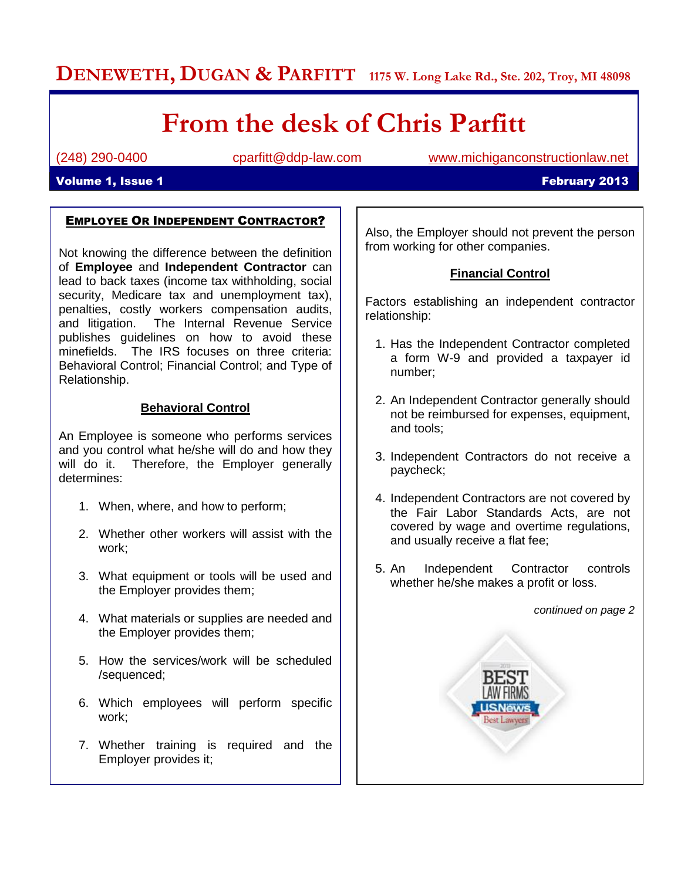## **DENEWETH, DUGAN & PARFITT 1175 W. Long Lake Rd., Ste. 202, Troy, MI 48098**

# **From the desk of Chris Parfitt**

(248) 290-0400 cparfitt@ddp-law.com [www.michiganconstructionlaw.net](http://www.michiganconstructionlaw.net/)

#### **Volume 1, Issue 1 February 2013**

#### EMPLOYEE OR INDEPENDENT CONTRACTOR?

Not knowing the difference between the definition of **Employee** and **Independent Contractor** can lead to back taxes (income tax withholding, social security, Medicare tax and unemployment tax), penalties, costly workers compensation audits, and litigation. The Internal Revenue Service publishes guidelines on how to avoid these minefields. The IRS focuses on three criteria: Behavioral Control; Financial Control; and Type of Relationship.

#### **Behavioral Control**

An Employee is someone who performs services and you control what he/she will do and how they will do it. Therefore, the Employer generally determines:

- 1. When, where, and how to perform;
- 2. Whether other workers will assist with the work;
- 3. What equipment or tools will be used and the Employer provides them;
- 4. What materials or supplies are needed and the Employer provides them;
- 5. How the services/work will be scheduled /sequenced;
- 6. Which employees will perform specific work;
- 7. Whether training is required and the Employer provides it;

Also, the Employer should not prevent the person from working for other companies.

#### **Financial Control**

Factors establishing an independent contractor relationship:

- 1. Has the Independent Contractor completed a form W-9 and provided a taxpayer id number;
- 2. An Independent Contractor generally should not be reimbursed for expenses, equipment, and tools;
- 3. Independent Contractors do not receive a paycheck;
- 4. Independent Contractors are not covered by the Fair Labor Standards Acts, are not covered by wage and overtime regulations, and usually receive a flat fee;
- 5. An Independent Contractor controls whether he/she makes a profit or loss.